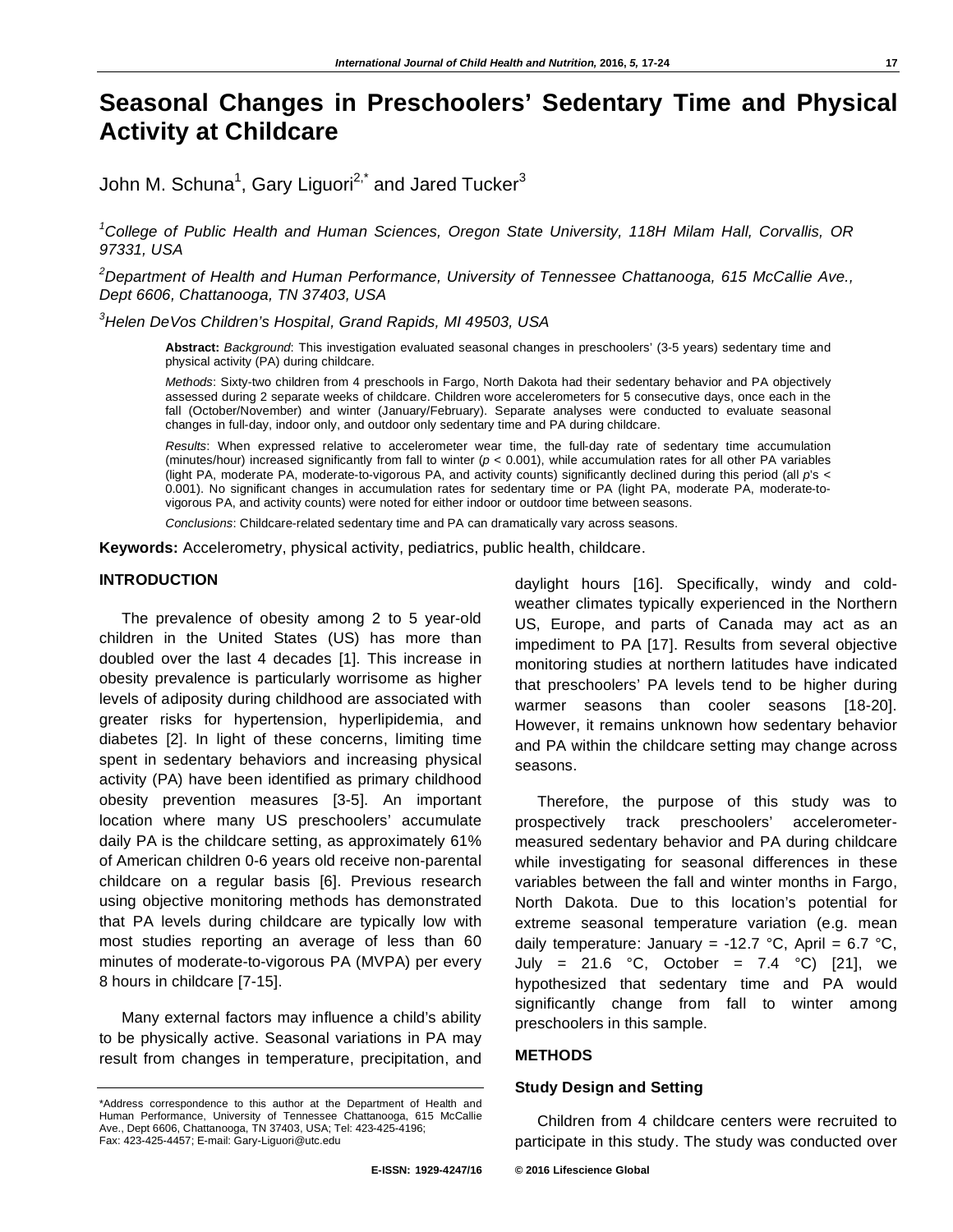# **Seasonal Changes in Preschoolers' Sedentary Time and Physical Activity at Childcare**

John M. Schuna $^1$ , Gary Liguori $^{2,^\star}$  and Jared Tucker $^3$ 

*1 College of Public Health and Human Sciences, Oregon State University, 118H Milam Hall, Corvallis, OR 97331, USA* 

*2 Department of Health and Human Performance, University of Tennessee Chattanooga, 615 McCallie Ave., Dept 6606, Chattanooga, TN 37403, USA* 

*3 Helen DeVos Children's Hospital, Grand Rapids, MI 49503, USA* 

**Abstract:** *Background*: This investigation evaluated seasonal changes in preschoolers' (3-5 years) sedentary time and physical activity (PA) during childcare.

*Methods*: Sixty-two children from 4 preschools in Fargo, North Dakota had their sedentary behavior and PA objectively assessed during 2 separate weeks of childcare. Children wore accelerometers for 5 consecutive days, once each in the fall (October/November) and winter (January/February). Separate analyses were conducted to evaluate seasonal changes in full-day, indoor only, and outdoor only sedentary time and PA during childcare.

*Results*: When expressed relative to accelerometer wear time, the full-day rate of sedentary time accumulation (minutes/hour) increased significantly from fall to winter  $(p < 0.001)$ , while accumulation rates for all other PA variables (light PA, moderate PA, moderate-to-vigorous PA, and activity counts) significantly declined during this period (all *p*'s < 0.001). No significant changes in accumulation rates for sedentary time or PA (light PA, moderate PA, moderate-tovigorous PA, and activity counts) were noted for either indoor or outdoor time between seasons.

*Conclusions*: Childcare-related sedentary time and PA can dramatically vary across seasons.

**Keywords:** Accelerometry, physical activity, pediatrics, public health, childcare.

#### **INTRODUCTION**

The prevalence of obesity among 2 to 5 year-old children in the United States (US) has more than doubled over the last 4 decades [1]. This increase in obesity prevalence is particularly worrisome as higher levels of adiposity during childhood are associated with greater risks for hypertension, hyperlipidemia, and diabetes [2]. In light of these concerns, limiting time spent in sedentary behaviors and increasing physical activity (PA) have been identified as primary childhood obesity prevention measures [3-5]. An important location where many US preschoolers' accumulate daily PA is the childcare setting, as approximately 61% of American children 0-6 years old receive non-parental childcare on a regular basis [6]. Previous research using objective monitoring methods has demonstrated that PA levels during childcare are typically low with most studies reporting an average of less than 60 minutes of moderate-to-vigorous PA (MVPA) per every 8 hours in childcare [7-15].

Many external factors may influence a child's ability to be physically active. Seasonal variations in PA may result from changes in temperature, precipitation, and daylight hours [16]. Specifically, windy and coldweather climates typically experienced in the Northern US, Europe, and parts of Canada may act as an impediment to PA [17]. Results from several objective monitoring studies at northern latitudes have indicated that preschoolers' PA levels tend to be higher during warmer seasons than cooler seasons [18-20]. However, it remains unknown how sedentary behavior and PA within the childcare setting may change across seasons.

Therefore, the purpose of this study was to prospectively track preschoolers' accelerometermeasured sedentary behavior and PA during childcare while investigating for seasonal differences in these variables between the fall and winter months in Fargo, North Dakota. Due to this location's potential for extreme seasonal temperature variation (e.g. mean daily temperature: January = -12.7 °C, April =  $6.7$  °C, July = 21.6 °C, October = 7.4 °C) [21], we hypothesized that sedentary time and PA would significantly change from fall to winter among preschoolers in this sample.

## **METHODS**

# **Study Design and Setting**

Children from 4 childcare centers were recruited to participate in this study. The study was conducted over

<sup>\*</sup>Address correspondence to this author at the Department of Health and Human Performance, University of Tennessee Chattanooga, 615 McCallie Ave., Dept 6606, Chattanooga, TN 37403, USA; Tel: 423-425-4196; Fax: 423-425-4457; E-mail: Gary-Liguori@utc.edu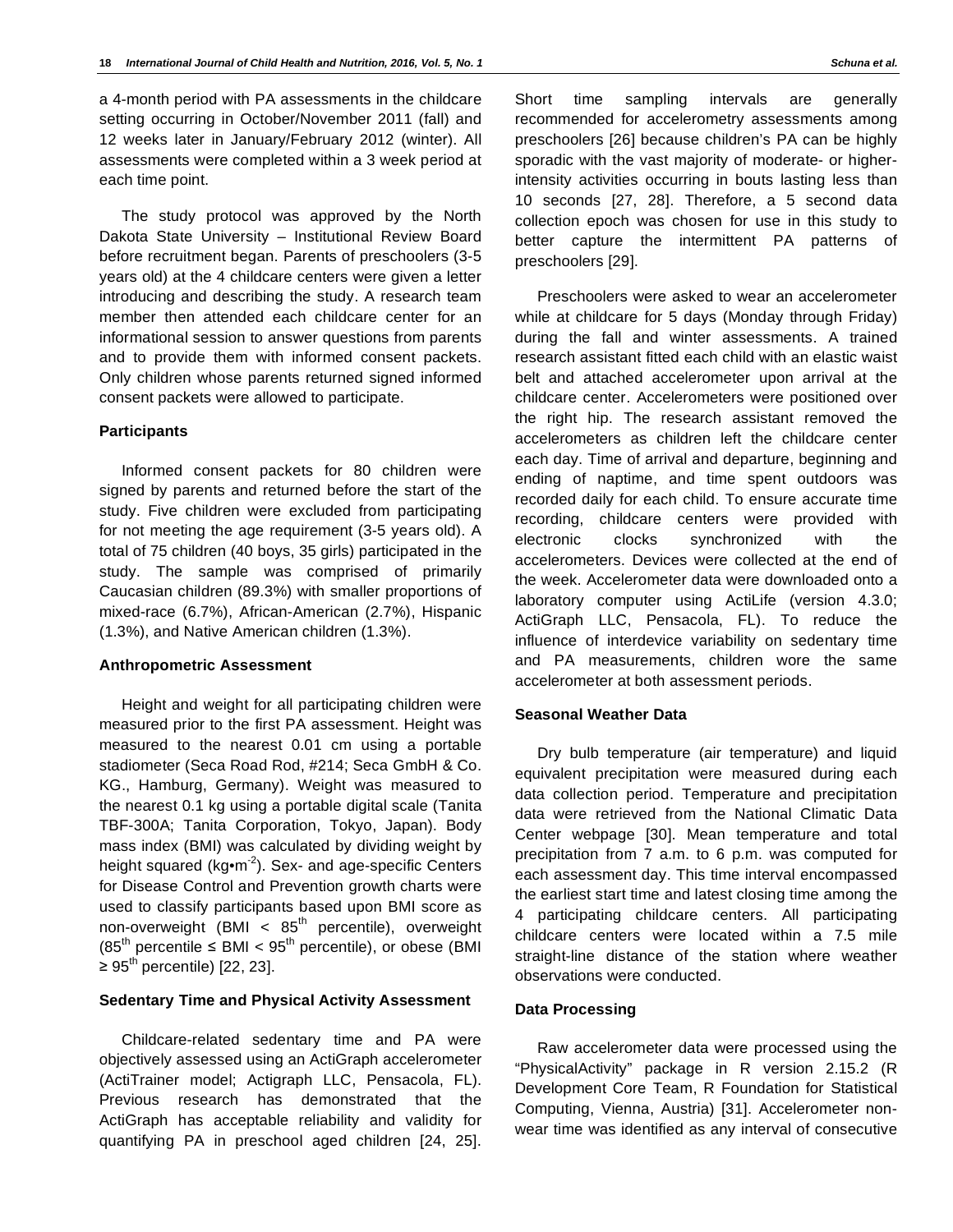a 4-month period with PA assessments in the childcare setting occurring in October/November 2011 (fall) and 12 weeks later in January/February 2012 (winter). All assessments were completed within a 3 week period at each time point.

The study protocol was approved by the North Dakota State University – Institutional Review Board before recruitment began. Parents of preschoolers (3-5 years old) at the 4 childcare centers were given a letter introducing and describing the study. A research team member then attended each childcare center for an informational session to answer questions from parents and to provide them with informed consent packets. Only children whose parents returned signed informed consent packets were allowed to participate.

#### **Participants**

Informed consent packets for 80 children were signed by parents and returned before the start of the study. Five children were excluded from participating for not meeting the age requirement (3-5 years old). A total of 75 children (40 boys, 35 girls) participated in the study. The sample was comprised of primarily Caucasian children (89.3%) with smaller proportions of mixed-race (6.7%), African-American (2.7%), Hispanic (1.3%), and Native American children (1.3%).

#### **Anthropometric Assessment**

Height and weight for all participating children were measured prior to the first PA assessment. Height was measured to the nearest 0.01 cm using a portable stadiometer (Seca Road Rod, #214; Seca GmbH & Co. KG., Hamburg, Germany). Weight was measured to the nearest 0.1 kg using a portable digital scale (Tanita TBF-300A; Tanita Corporation, Tokyo, Japan). Body mass index (BMI) was calculated by dividing weight by height squared ( $kg \cdot m^{-2}$ ). Sex- and age-specific Centers for Disease Control and Prevention growth charts were used to classify participants based upon BMI score as non-overweight  $(BMI < 85<sup>th</sup>$  percentile), overweight  $(85<sup>th</sup>$  percentile  $\leq$  BMI  $<$  95<sup>th</sup> percentile), or obese (BMI  $\geq 95^{\text{th}}$  percentile) [22, 23].

# **Sedentary Time and Physical Activity Assessment**

Childcare-related sedentary time and PA were objectively assessed using an ActiGraph accelerometer (ActiTrainer model; Actigraph LLC, Pensacola, FL). Previous research has demonstrated that the ActiGraph has acceptable reliability and validity for quantifying PA in preschool aged children [24, 25].

Short time sampling intervals are generally recommended for accelerometry assessments among preschoolers [26] because children's PA can be highly sporadic with the vast majority of moderate- or higherintensity activities occurring in bouts lasting less than 10 seconds [27, 28]. Therefore, a 5 second data collection epoch was chosen for use in this study to better capture the intermittent PA patterns of preschoolers [29].

Preschoolers were asked to wear an accelerometer while at childcare for 5 days (Monday through Friday) during the fall and winter assessments. A trained research assistant fitted each child with an elastic waist belt and attached accelerometer upon arrival at the childcare center. Accelerometers were positioned over the right hip. The research assistant removed the accelerometers as children left the childcare center each day. Time of arrival and departure, beginning and ending of naptime, and time spent outdoors was recorded daily for each child. To ensure accurate time recording, childcare centers were provided with electronic clocks synchronized with the accelerometers. Devices were collected at the end of the week. Accelerometer data were downloaded onto a laboratory computer using ActiLife (version 4.3.0; ActiGraph LLC, Pensacola, FL). To reduce the influence of interdevice variability on sedentary time and PA measurements, children wore the same accelerometer at both assessment periods.

#### **Seasonal Weather Data**

Dry bulb temperature (air temperature) and liquid equivalent precipitation were measured during each data collection period. Temperature and precipitation data were retrieved from the National Climatic Data Center webpage [30]. Mean temperature and total precipitation from 7 a.m. to 6 p.m. was computed for each assessment day. This time interval encompassed the earliest start time and latest closing time among the 4 participating childcare centers. All participating childcare centers were located within a 7.5 mile straight-line distance of the station where weather observations were conducted.

#### **Data Processing**

Raw accelerometer data were processed using the "PhysicalActivity" package in R version 2.15.2 (R Development Core Team, R Foundation for Statistical Computing, Vienna, Austria) [31]. Accelerometer nonwear time was identified as any interval of consecutive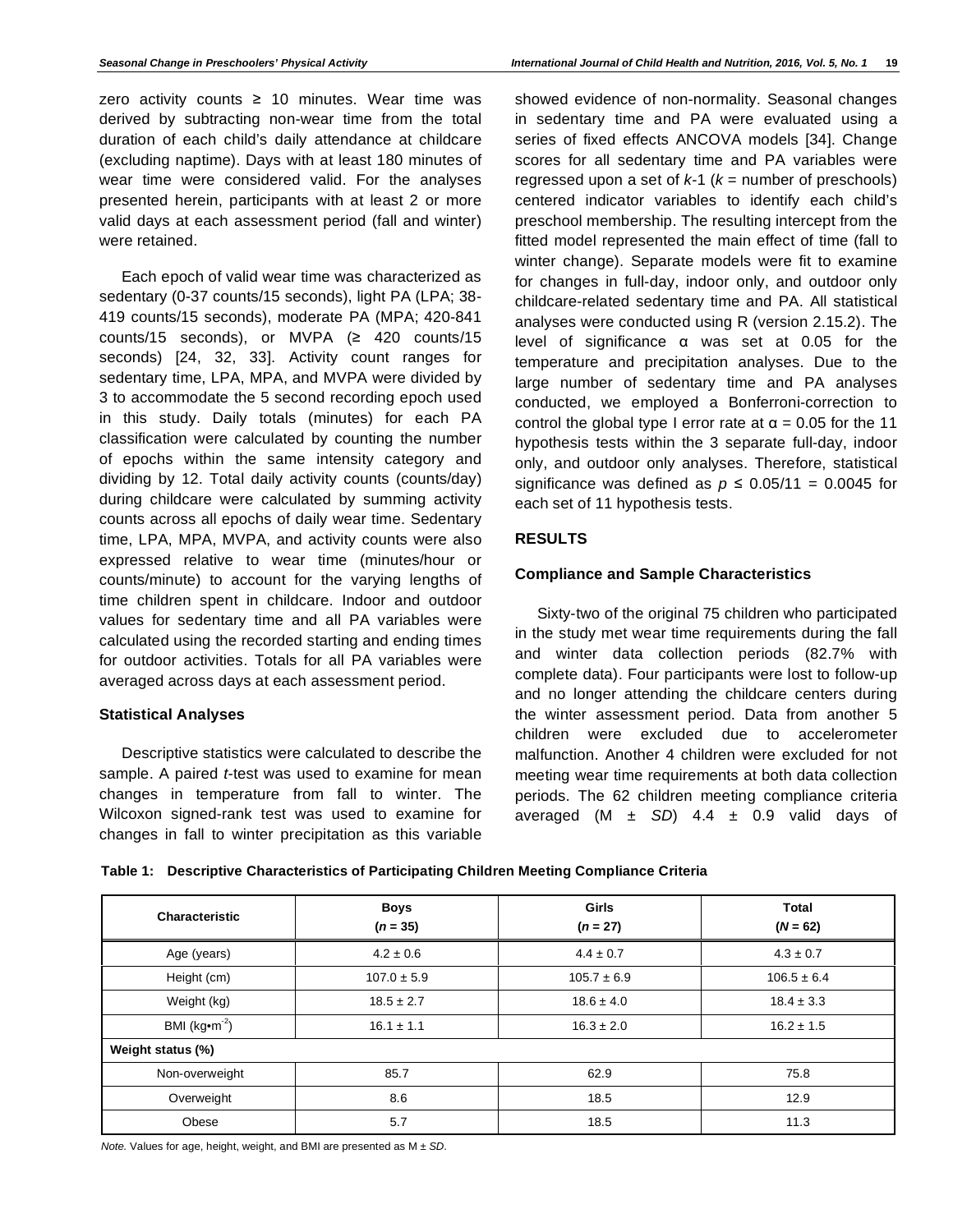zero activity counts  $\geq 10$  minutes. Wear time was derived by subtracting non-wear time from the total duration of each child's daily attendance at childcare (excluding naptime). Days with at least 180 minutes of wear time were considered valid. For the analyses presented herein, participants with at least 2 or more valid days at each assessment period (fall and winter) were retained.

Each epoch of valid wear time was characterized as sedentary (0-37 counts/15 seconds), light PA (LPA; 38- 419 counts/15 seconds), moderate PA (MPA; 420-841 counts/15 seconds), or MVPA  $(2 420$  counts/15 seconds) [24, 32, 33]. Activity count ranges for sedentary time, LPA, MPA, and MVPA were divided by 3 to accommodate the 5 second recording epoch used in this study. Daily totals (minutes) for each PA classification were calculated by counting the number of epochs within the same intensity category and dividing by 12. Total daily activity counts (counts/day) during childcare were calculated by summing activity counts across all epochs of daily wear time. Sedentary time, LPA, MPA, MVPA, and activity counts were also expressed relative to wear time (minutes/hour or counts/minute) to account for the varying lengths of time children spent in childcare. Indoor and outdoor values for sedentary time and all PA variables were calculated using the recorded starting and ending times for outdoor activities. Totals for all PA variables were averaged across days at each assessment period.

# **Statistical Analyses**

Descriptive statistics were calculated to describe the sample. A paired *t-*test was used to examine for mean changes in temperature from fall to winter. The Wilcoxon signed-rank test was used to examine for changes in fall to winter precipitation as this variable

showed evidence of non-normality. Seasonal changes in sedentary time and PA were evaluated using a series of fixed effects ANCOVA models [34]. Change scores for all sedentary time and PA variables were regressed upon a set of  $k-1$  ( $k =$  number of preschools) centered indicator variables to identify each child's preschool membership. The resulting intercept from the fitted model represented the main effect of time (fall to winter change). Separate models were fit to examine for changes in full-day, indoor only, and outdoor only childcare-related sedentary time and PA. All statistical analyses were conducted using R (version 2.15.2). The level of significance  $\alpha$  was set at 0.05 for the temperature and precipitation analyses. Due to the large number of sedentary time and PA analyses conducted, we employed a Bonferroni-correction to control the global type I error rate at  $\alpha$  = 0.05 for the 11 hypothesis tests within the 3 separate full-day, indoor only, and outdoor only analyses. Therefore, statistical significance was defined as  $p \le 0.05/11 = 0.0045$  for each set of 11 hypothesis tests.

# **RESULTS**

# **Compliance and Sample Characteristics**

Sixty-two of the original 75 children who participated in the study met wear time requirements during the fall and winter data collection periods (82.7% with complete data). Four participants were lost to follow-up and no longer attending the childcare centers during the winter assessment period. Data from another 5 children were excluded due to accelerometer malfunction. Another 4 children were excluded for not meeting wear time requirements at both data collection periods. The 62 children meeting compliance criteria averaged  $(M \pm SD)$  4.4  $\pm$  0.9 valid days of

**Table 1: Descriptive Characteristics of Participating Children Meeting Compliance Criteria** 

| Characteristic    | <b>Boys</b><br>$(n = 35)$ | Girls<br>$(n = 27)$ | <b>Total</b><br>$(N = 62)$ |
|-------------------|---------------------------|---------------------|----------------------------|
| Age (years)       | $4.2 \pm 0.6$             | $4.4 \pm 0.7$       | $4.3 \pm 0.7$              |
| Height (cm)       | $107.0 \pm 5.9$           | $105.7 \pm 6.9$     | $106.5 \pm 6.4$            |
| Weight (kg)       | $18.5 \pm 2.7$            | $18.6 \pm 4.0$      | $18.4 \pm 3.3$             |
| BMI ( $kg•m-2$ )  | $16.1 \pm 1.1$            | $16.3 \pm 2.0$      | $16.2 \pm 1.5$             |
| Weight status (%) |                           |                     |                            |
| Non-overweight    | 85.7                      | 62.9                | 75.8                       |
| Overweight        | 8.6                       | 18.5                | 12.9                       |
| Obese             | 5.7                       | 18.5                | 11.3                       |

*Note.* Values for age, height, weight, and BMI are presented as M ± *SD*.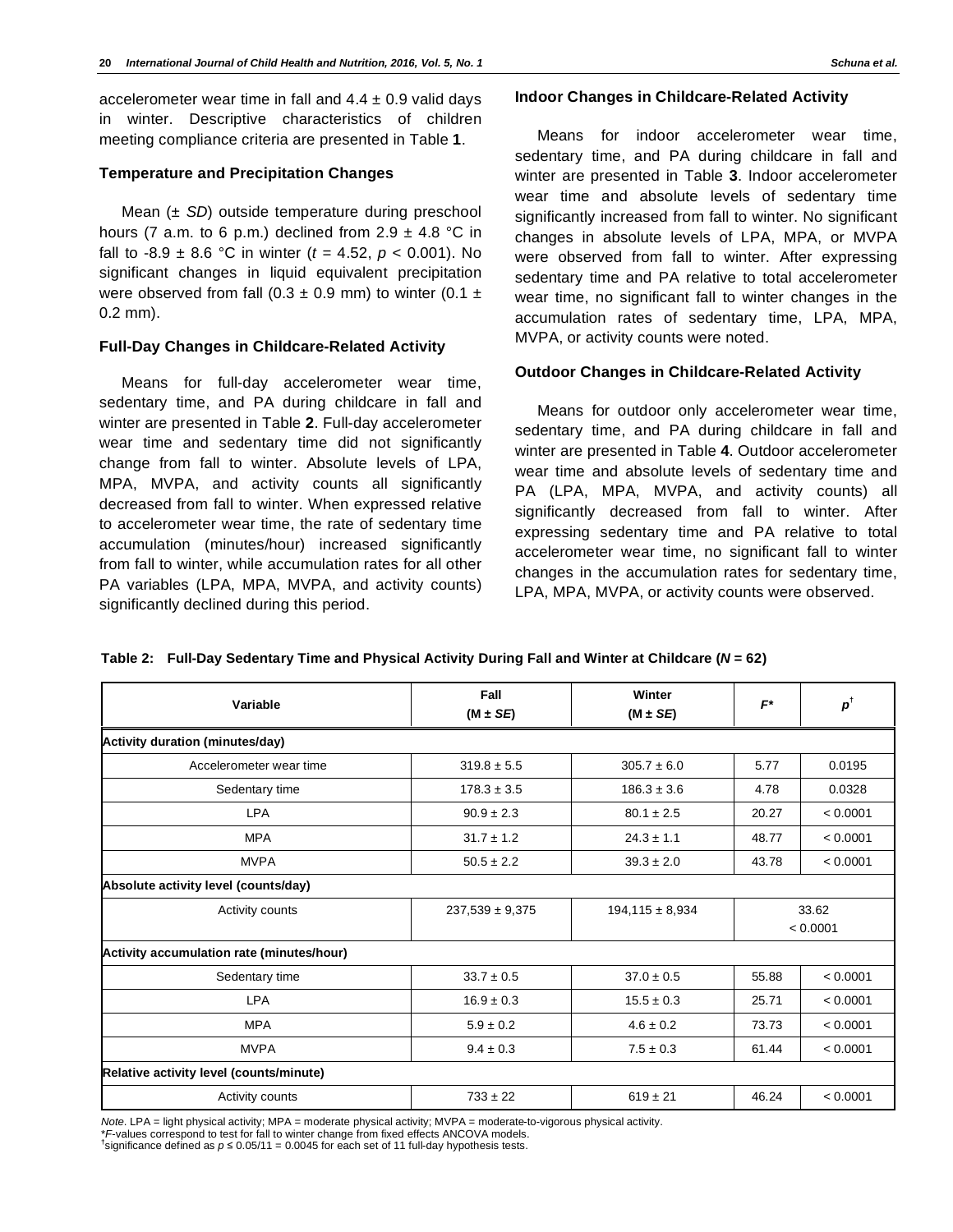accelerometer wear time in fall and  $4.4 \pm 0.9$  valid days in winter. Descriptive characteristics of children meeting compliance criteria are presented in Table **1**.

#### **Temperature and Precipitation Changes**

Mean (± *SD*) outside temperature during preschool hours (7 a.m. to 6 p.m.) declined from  $2.9 \pm 4.8$  °C in fall to -8.9 ± 8.6 °C in winter (*t =* 4.52, *p* < 0.001). No significant changes in liquid equivalent precipitation were observed from fall (0.3  $\pm$  0.9 mm) to winter (0.1  $\pm$ 0.2 mm).

#### **Full-Day Changes in Childcare-Related Activity**

Means for full-day accelerometer wear time, sedentary time, and PA during childcare in fall and winter are presented in Table **2**. Full-day accelerometer wear time and sedentary time did not significantly change from fall to winter. Absolute levels of LPA, MPA, MVPA, and activity counts all significantly decreased from fall to winter. When expressed relative to accelerometer wear time, the rate of sedentary time accumulation (minutes/hour) increased significantly from fall to winter, while accumulation rates for all other PA variables (LPA, MPA, MVPA, and activity counts) significantly declined during this period.

#### **Indoor Changes in Childcare-Related Activity**

Means for indoor accelerometer wear time, sedentary time, and PA during childcare in fall and winter are presented in Table **3**. Indoor accelerometer wear time and absolute levels of sedentary time significantly increased from fall to winter. No significant changes in absolute levels of LPA, MPA, or MVPA were observed from fall to winter. After expressing sedentary time and PA relative to total accelerometer wear time, no significant fall to winter changes in the accumulation rates of sedentary time, LPA, MPA, MVPA, or activity counts were noted.

#### **Outdoor Changes in Childcare-Related Activity**

Means for outdoor only accelerometer wear time, sedentary time, and PA during childcare in fall and winter are presented in Table **4**. Outdoor accelerometer wear time and absolute levels of sedentary time and PA (LPA, MPA, MVPA, and activity counts) all significantly decreased from fall to winter. After expressing sedentary time and PA relative to total accelerometer wear time, no significant fall to winter changes in the accumulation rates for sedentary time, LPA, MPA, MVPA, or activity counts were observed.

| Variable                                  | Fall                                       | Winter<br>$(M \pm SE)$ | $F^*$ | $\boldsymbol{p}^\dagger$ |  |
|-------------------------------------------|--------------------------------------------|------------------------|-------|--------------------------|--|
|                                           | $(M \pm SE)$                               |                        |       |                          |  |
| <b>Activity duration (minutes/day)</b>    |                                            |                        |       |                          |  |
| Accelerometer wear time                   | $319.8 \pm 5.5$                            | $305.7 \pm 6.0$        | 5.77  | 0.0195                   |  |
| Sedentary time                            | $178.3 \pm 3.5$                            | $186.3 \pm 3.6$        | 4.78  | 0.0328                   |  |
| <b>LPA</b>                                | $90.9 \pm 2.3$                             | $80.1 \pm 2.5$         | 20.27 | < 0.0001                 |  |
| <b>MPA</b>                                | $31.7 \pm 1.2$                             | $24.3 \pm 1.1$         | 48.77 | < 0.0001                 |  |
| <b>MVPA</b>                               | $50.5 \pm 2.2$                             | $39.3 \pm 2.0$         | 43.78 | < 0.0001                 |  |
| Absolute activity level (counts/day)      |                                            |                        |       |                          |  |
| Activity counts                           | $237,539 \pm 9,375$<br>$194,115 \pm 8,934$ |                        |       | 33.62                    |  |
|                                           |                                            |                        |       | < 0.0001                 |  |
| Activity accumulation rate (minutes/hour) |                                            |                        |       |                          |  |
| Sedentary time                            | $33.7 \pm 0.5$                             | $37.0 \pm 0.5$         | 55.88 | < 0.0001                 |  |
| <b>LPA</b>                                | $16.9 \pm 0.3$                             | $15.5 \pm 0.3$         | 25.71 | < 0.0001                 |  |
| <b>MPA</b>                                | $5.9 \pm 0.2$                              | $4.6 \pm 0.2$          | 73.73 | < 0.0001                 |  |
| <b>MVPA</b>                               | $9.4 \pm 0.3$                              | $7.5 \pm 0.3$          | 61.44 | < 0.0001                 |  |
| Relative activity level (counts/minute)   |                                            |                        |       |                          |  |
| Activity counts                           | $733 \pm 22$                               | $619 \pm 21$           | 46.24 | < 0.0001                 |  |

**Table 2: Full-Day Sedentary Time and Physical Activity During Fall and Winter at Childcare (***N* **= 62)** 

*Note*. LPA = light physical activity; MPA = moderate physical activity; MVPA = moderate-to-vigorous physical activity.

\**F*-values correspond to test for fall to winter change from fixed effects ANCOVA models. **†**

<sup>t</sup>significance defined as  $p \le 0.05/11 = 0.0045$  for each set of 11 full-day hypothesis tests.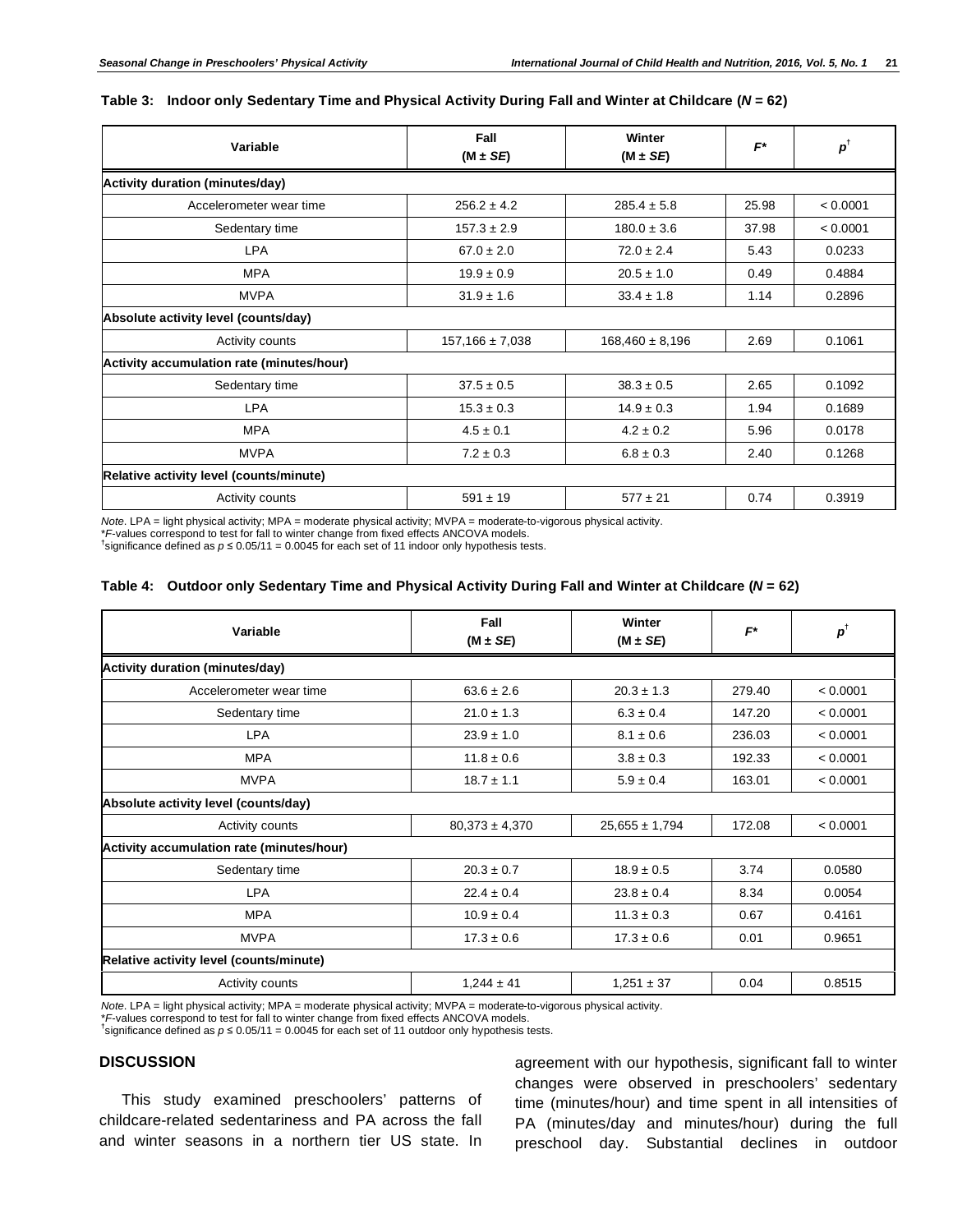#### **Table 3: Indoor only Sedentary Time and Physical Activity During Fall and Winter at Childcare (***N* **= 62)**

| Variable                                  | Fall<br>$(M \pm SE)$ | Winter<br>$(M \pm SE)$ | $F^*$ | $p^{\dagger}$ |
|-------------------------------------------|----------------------|------------------------|-------|---------------|
| Activity duration (minutes/day)           |                      |                        |       |               |
| Accelerometer wear time                   | $256.2 \pm 4.2$      | $285.4 \pm 5.8$        | 25.98 | < 0.0001      |
| Sedentary time                            | $157.3 \pm 2.9$      | $180.0 \pm 3.6$        | 37.98 | < 0.0001      |
| <b>LPA</b>                                | $67.0 \pm 2.0$       | $72.0 \pm 2.4$         | 5.43  | 0.0233        |
| <b>MPA</b>                                | $19.9 \pm 0.9$       | $20.5 \pm 1.0$         | 0.49  | 0.4884        |
| <b>MVPA</b>                               | $31.9 \pm 1.6$       | $33.4 \pm 1.8$         | 1.14  | 0.2896        |
| Absolute activity level (counts/day)      |                      |                        |       |               |
| Activity counts                           | $157,166 \pm 7,038$  | $168,460 \pm 8,196$    | 2.69  | 0.1061        |
| Activity accumulation rate (minutes/hour) |                      |                        |       |               |
| Sedentary time                            | $37.5 \pm 0.5$       | $38.3 \pm 0.5$         | 2.65  | 0.1092        |
| <b>LPA</b>                                | $15.3 \pm 0.3$       | $14.9 \pm 0.3$         | 1.94  | 0.1689        |
| <b>MPA</b>                                | $4.5 \pm 0.1$        | $4.2 \pm 0.2$          | 5.96  | 0.0178        |
| <b>MVPA</b>                               | $7.2 \pm 0.3$        | $6.8 \pm 0.3$          | 2.40  | 0.1268        |
| Relative activity level (counts/minute)   |                      |                        |       |               |
| Activity counts                           | $591 \pm 19$         | $577 \pm 21$           | 0.74  | 0.3919        |

*Note*. LPA = light physical activity; MPA = moderate physical activity; MVPA = moderate-to-vigorous physical activity.

\**F*-values correspond to test for fall to winter change from fixed effects ANCOVA models. **†**

<sup>t</sup>significance defined as  $p \le 0.05/11 = 0.0045$  for each set of 11 indoor only hypothesis tests.

#### **Table 4: Outdoor only Sedentary Time and Physical Activity During Fall and Winter at Childcare (***N* **= 62)**

| Variable                                  | Fall               | Winter             | $F^*$  | $p^{\dagger}$ |
|-------------------------------------------|--------------------|--------------------|--------|---------------|
|                                           | $(M \pm SE)$       | $(M \pm SE)$       |        |               |
| <b>Activity duration (minutes/day)</b>    |                    |                    |        |               |
| Accelerometer wear time                   | $63.6 \pm 2.6$     | $20.3 \pm 1.3$     | 279.40 | < 0.0001      |
| Sedentary time                            | $21.0 \pm 1.3$     | $6.3 \pm 0.4$      | 147.20 | < 0.0001      |
| <b>LPA</b>                                | $23.9 \pm 1.0$     | $8.1 \pm 0.6$      | 236.03 | < 0.0001      |
| <b>MPA</b>                                | $11.8 \pm 0.6$     | $3.8 \pm 0.3$      | 192.33 | < 0.0001      |
| <b>MVPA</b>                               | $18.7 \pm 1.1$     | $5.9 \pm 0.4$      | 163.01 | < 0.0001      |
| Absolute activity level (counts/day)      |                    |                    |        |               |
| Activity counts                           | $80,373 \pm 4,370$ | $25,655 \pm 1,794$ | 172.08 | < 0.0001      |
| Activity accumulation rate (minutes/hour) |                    |                    |        |               |
| Sedentary time                            | $20.3 \pm 0.7$     | $18.9 \pm 0.5$     | 3.74   | 0.0580        |
| <b>LPA</b>                                | $22.4 \pm 0.4$     | $23.8 \pm 0.4$     | 8.34   | 0.0054        |
| <b>MPA</b>                                | $10.9 \pm 0.4$     | $11.3 \pm 0.3$     | 0.67   | 0.4161        |
| <b>MVPA</b>                               | $17.3 \pm 0.6$     | $17.3 \pm 0.6$     | 0.01   | 0.9651        |
| Relative activity level (counts/minute)   |                    |                    |        |               |
| Activity counts                           | $1,244 \pm 41$     | $1,251 \pm 37$     | 0.04   | 0.8515        |

*Note*. LPA = light physical activity; MPA = moderate physical activity; MVPA = moderate-to-vigorous physical activity.

\**F*-values correspond to test for fall to winter change from fixed effects ANCOVA models. **†**

<sup>t</sup>significance defined as  $p \le 0.05/11 = 0.0045$  for each set of 11 outdoor only hypothesis tests.

# **DISCUSSION**

This study examined preschoolers' patterns of childcare-related sedentariness and PA across the fall and winter seasons in a northern tier US state. In agreement with our hypothesis, significant fall to winter changes were observed in preschoolers' sedentary time (minutes/hour) and time spent in all intensities of PA (minutes/day and minutes/hour) during the full preschool day. Substantial declines in outdoor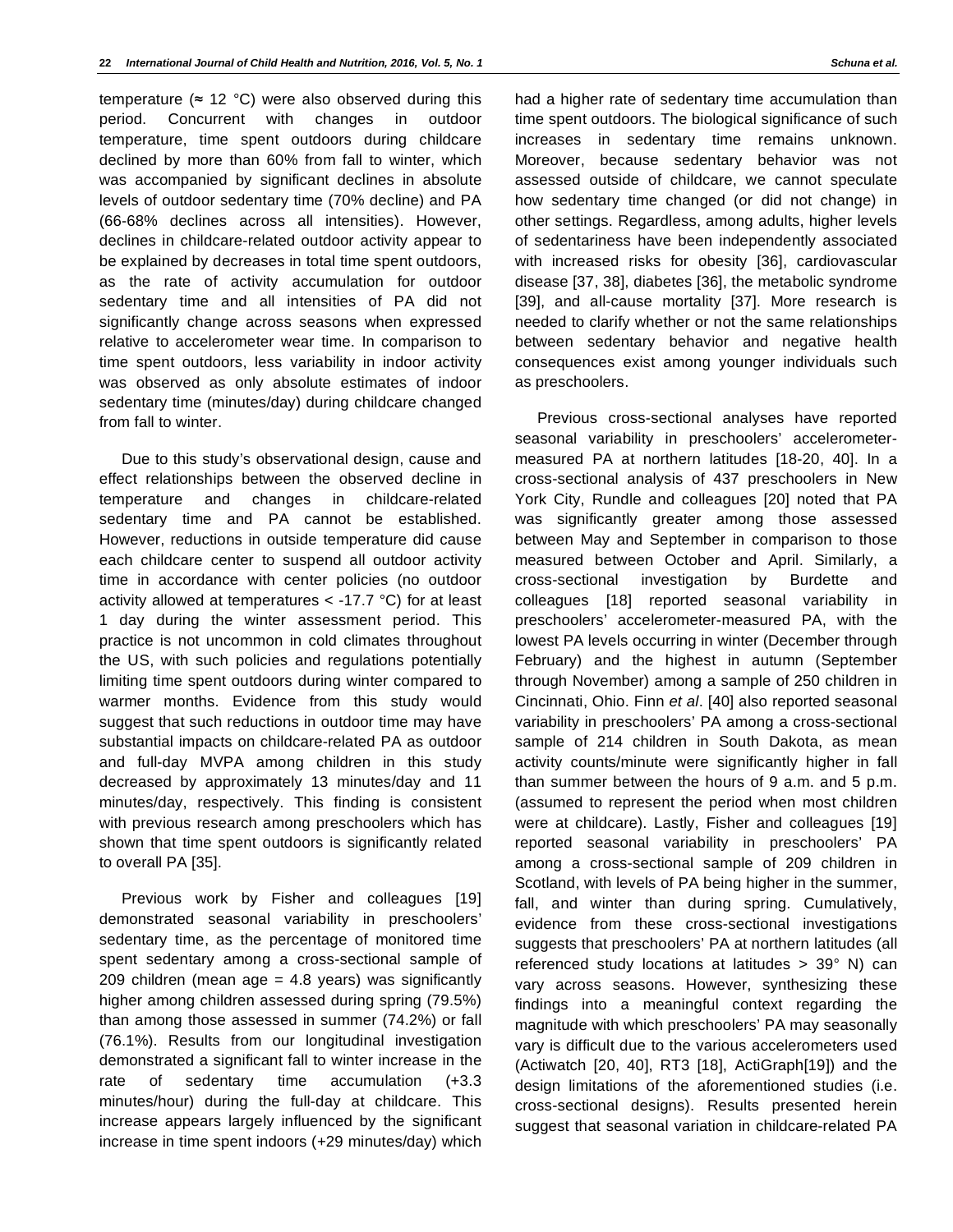temperature ( $\approx$  12 °C) were also observed during this period. Concurrent with changes in outdoor temperature, time spent outdoors during childcare declined by more than 60% from fall to winter, which was accompanied by significant declines in absolute levels of outdoor sedentary time (70% decline) and PA (66-68% declines across all intensities). However, declines in childcare-related outdoor activity appear to be explained by decreases in total time spent outdoors, as the rate of activity accumulation for outdoor sedentary time and all intensities of PA did not significantly change across seasons when expressed relative to accelerometer wear time. In comparison to time spent outdoors, less variability in indoor activity was observed as only absolute estimates of indoor sedentary time (minutes/day) during childcare changed from fall to winter.

Due to this study's observational design, cause and effect relationships between the observed decline in temperature and changes in childcare-related sedentary time and PA cannot be established. However, reductions in outside temperature did cause each childcare center to suspend all outdoor activity time in accordance with center policies (no outdoor activity allowed at temperatures  $<$  -17.7 °C) for at least 1 day during the winter assessment period. This practice is not uncommon in cold climates throughout the US, with such policies and regulations potentially limiting time spent outdoors during winter compared to warmer months. Evidence from this study would suggest that such reductions in outdoor time may have substantial impacts on childcare-related PA as outdoor and full-day MVPA among children in this study decreased by approximately 13 minutes/day and 11 minutes/day, respectively. This finding is consistent with previous research among preschoolers which has shown that time spent outdoors is significantly related to overall PA [35].

Previous work by Fisher and colleagues [19] demonstrated seasonal variability in preschoolers' sedentary time, as the percentage of monitored time spent sedentary among a cross-sectional sample of 209 children (mean age  $=$  4.8 years) was significantly higher among children assessed during spring (79.5%) than among those assessed in summer (74.2%) or fall (76.1%). Results from our longitudinal investigation demonstrated a significant fall to winter increase in the rate of sedentary time accumulation (+3.3 minutes/hour) during the full-day at childcare. This increase appears largely influenced by the significant increase in time spent indoors (+29 minutes/day) which

had a higher rate of sedentary time accumulation than time spent outdoors. The biological significance of such increases in sedentary time remains unknown. Moreover, because sedentary behavior was not assessed outside of childcare, we cannot speculate how sedentary time changed (or did not change) in other settings. Regardless, among adults, higher levels of sedentariness have been independently associated with increased risks for obesity [36], cardiovascular disease [37, 38], diabetes [36], the metabolic syndrome [39], and all-cause mortality [37]. More research is needed to clarify whether or not the same relationships between sedentary behavior and negative health consequences exist among younger individuals such as preschoolers.

Previous cross-sectional analyses have reported seasonal variability in preschoolers' accelerometermeasured PA at northern latitudes [18-20, 40]. In a cross-sectional analysis of 437 preschoolers in New York City, Rundle and colleagues [20] noted that PA was significantly greater among those assessed between May and September in comparison to those measured between October and April. Similarly, a cross-sectional investigation by Burdette and colleagues [18] reported seasonal variability in preschoolers' accelerometer-measured PA, with the lowest PA levels occurring in winter (December through February) and the highest in autumn (September through November) among a sample of 250 children in Cincinnati, Ohio. Finn *et al*. [40] also reported seasonal variability in preschoolers' PA among a cross-sectional sample of 214 children in South Dakota, as mean activity counts/minute were significantly higher in fall than summer between the hours of 9 a.m. and 5 p.m. (assumed to represent the period when most children were at childcare). Lastly, Fisher and colleagues [19] reported seasonal variability in preschoolers' PA among a cross-sectional sample of 209 children in Scotland, with levels of PA being higher in the summer, fall, and winter than during spring. Cumulatively, evidence from these cross-sectional investigations suggests that preschoolers' PA at northern latitudes (all referenced study locations at latitudes > 39° N) can vary across seasons. However, synthesizing these findings into a meaningful context regarding the magnitude with which preschoolers' PA may seasonally vary is difficult due to the various accelerometers used (Actiwatch [20, 40], RT3 [18], ActiGraph[19]) and the design limitations of the aforementioned studies (i.e. cross-sectional designs). Results presented herein suggest that seasonal variation in childcare-related PA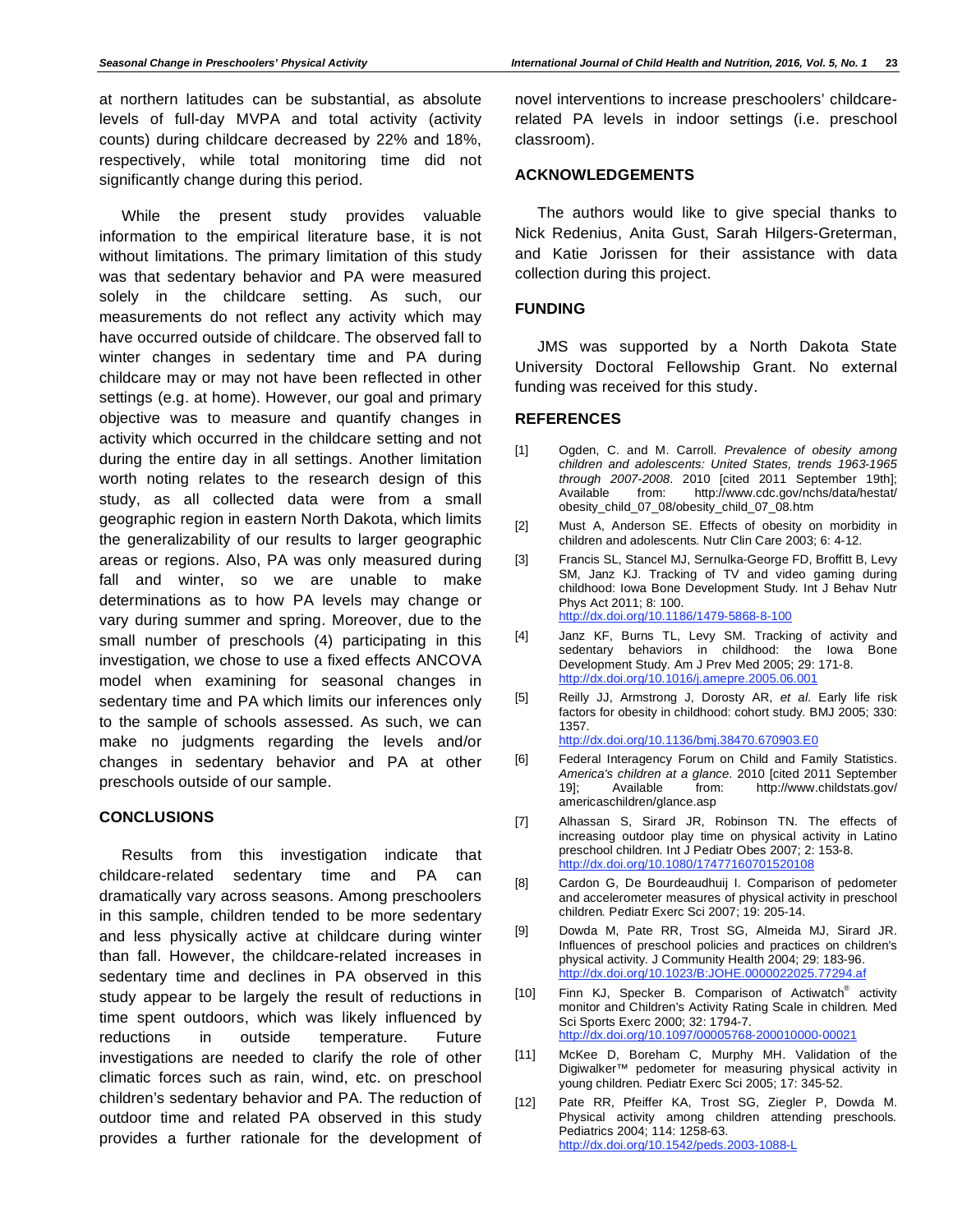at northern latitudes can be substantial, as absolute levels of full-day MVPA and total activity (activity counts) during childcare decreased by 22% and 18%, respectively, while total monitoring time did not significantly change during this period.

While the present study provides valuable information to the empirical literature base, it is not without limitations. The primary limitation of this study was that sedentary behavior and PA were measured solely in the childcare setting. As such, our measurements do not reflect any activity which may have occurred outside of childcare. The observed fall to winter changes in sedentary time and PA during childcare may or may not have been reflected in other settings (e.g. at home). However, our goal and primary objective was to measure and quantify changes in activity which occurred in the childcare setting and not during the entire day in all settings. Another limitation worth noting relates to the research design of this study, as all collected data were from a small geographic region in eastern North Dakota, which limits the generalizability of our results to larger geographic areas or regions. Also, PA was only measured during fall and winter, so we are unable to make determinations as to how PA levels may change or vary during summer and spring. Moreover, due to the small number of preschools (4) participating in this investigation, we chose to use a fixed effects ANCOVA model when examining for seasonal changes in sedentary time and PA which limits our inferences only to the sample of schools assessed. As such, we can make no judgments regarding the levels and/or changes in sedentary behavior and PA at other preschools outside of our sample.

# **CONCLUSIONS**

Results from this investigation indicate that childcare-related sedentary time and PA can dramatically vary across seasons. Among preschoolers in this sample, children tended to be more sedentary and less physically active at childcare during winter than fall. However, the childcare-related increases in sedentary time and declines in PA observed in this study appear to be largely the result of reductions in time spent outdoors, which was likely influenced by reductions in outside temperature. Future investigations are needed to clarify the role of other climatic forces such as rain, wind, etc. on preschool children's sedentary behavior and PA. The reduction of outdoor time and related PA observed in this study provides a further rationale for the development of novel interventions to increase preschoolers' childcarerelated PA levels in indoor settings (i.e. preschool classroom).

## **ACKNOWLEDGEMENTS**

The authors would like to give special thanks to Nick Redenius, Anita Gust, Sarah Hilgers-Greterman, and Katie Jorissen for their assistance with data collection during this project.

# **FUNDING**

JMS was supported by a North Dakota State University Doctoral Fellowship Grant. No external funding was received for this study.

# **REFERENCES**

- [1] Ogden, C. and M. Carroll. *Prevalence of obesity among children and adolescents: United States, trends 1963-1965 through 2007-2008*. 2010 [cited 2011 September 19th]; Available from: http://www.cdc.gov/nchs/data/hestat/ obesity\_child\_07\_08/obesity\_child\_07\_08.htm
- [2] Must A, Anderson SE. Effects of obesity on morbidity in children and adolescents*.* Nutr Clin Care 2003; 6: 4-12.
- [3] Francis SL, Stancel MJ, Sernulka-George FD, Broffitt B, Levy SM, Janz KJ. Tracking of TV and video gaming during childhood: Iowa Bone Development Study*.* Int J Behav Nutr Phys Act 2011; 8: 100. http://dx.doi.org/10.1186/1479-5868-8-100
- [4] Janz KF, Burns TL, Levy SM. Tracking of activity and sedentary behaviors in childhood: the Iowa Bone Development Study*.* Am J Prev Med 2005; 29: 171-8. http://dx.doi.org/10.1016/j.amepre.2005.06.001
- [5] Reilly JJ, Armstrong J, Dorosty AR, *et al*. Early life risk factors for obesity in childhood: cohort study*.* BMJ 2005; 330: 1357.
	- http://dx.doi.org/10.1136/bmj.38470.670903.E0
- [6] Federal Interagency Forum on Child and Family Statistics. *America's children at a glance*. 2010 [cited 2011 September 19]; Available from: http://www.childstats.gov/ americaschildren/glance.asp
- [7] Alhassan S, Sirard JR, Robinson TN. The effects of increasing outdoor play time on physical activity in Latino preschool children*.* Int J Pediatr Obes 2007; 2: 153-8. http://dx.doi.org/10.1080/17477160701520108
- [8] Cardon G, De Bourdeaudhuij I. Comparison of pedometer and accelerometer measures of physical activity in preschool children*.* Pediatr Exerc Sci 2007; 19: 205-14.
- [9] Dowda M, Pate RR, Trost SG, Almeida MJ, Sirard JR. Influences of preschool policies and practices on children's physical activity*.* J Community Health 2004; 29: 183-96. http://dx.doi.org/10.1023/B:JOHE.0000022025.77294.af
- [10] Finn KJ, Specker B. Comparison of Actiwatch<sup>®</sup> activity monitor and Children's Activity Rating Scale in children*.* Med Sci Sports Exerc 2000; 32: 1794-7. http://dx.doi.org/10.1097/00005768-200010000-00021
- [11] McKee D, Boreham C, Murphy MH. Validation of the Digiwalker™ pedometer for measuring physical activity in young children*.* Pediatr Exerc Sci 2005; 17: 345-52.
- [12] Pate RR, Pfeiffer KA, Trost SG, Ziegler P, Dowda M. Physical activity among children attending preschools*.* Pediatrics 2004; 114: 1258-63. http://dx.doi.org/10.1542/peds.2003-1088-L